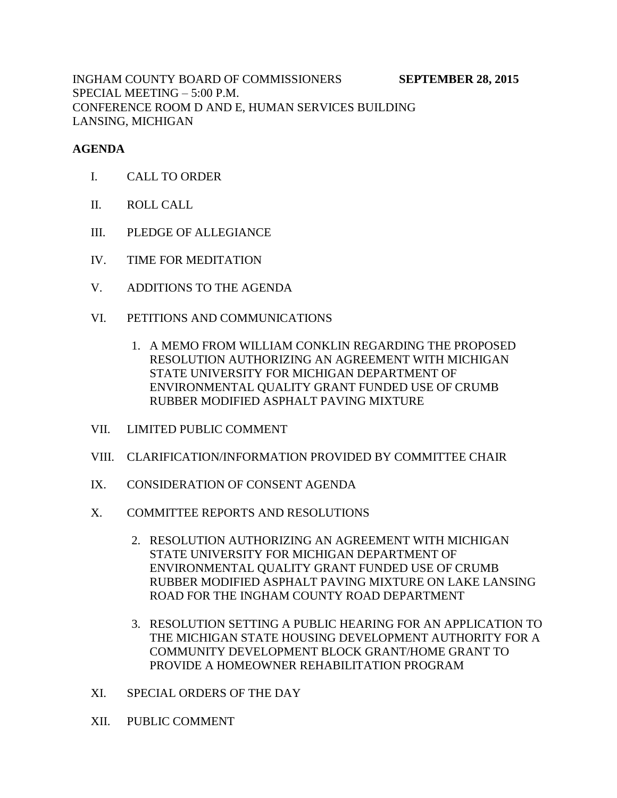INGHAM COUNTY BOARD OF COMMISSIONERS **SEPTEMBER 28, 2015** SPECIAL MEETING – 5:00 P.M. CONFERENCE ROOM D AND E, HUMAN SERVICES BUILDING LANSING, MICHIGAN

## **AGENDA**

- I. CALL TO ORDER
- II. ROLL CALL
- III. PLEDGE OF ALLEGIANCE
- IV. TIME FOR MEDITATION
- V. ADDITIONS TO THE AGENDA
- VI. PETITIONS AND COMMUNICATIONS
	- 1. A MEMO FROM WILLIAM CONKLIN REGARDING THE PROPOSED RESOLUTION AUTHORIZING AN AGREEMENT WITH MICHIGAN STATE UNIVERSITY FOR MICHIGAN DEPARTMENT OF ENVIRONMENTAL QUALITY GRANT FUNDED USE OF CRUMB RUBBER MODIFIED ASPHALT PAVING MIXTURE
- VII. LIMITED PUBLIC COMMENT
- VIII. CLARIFICATION/INFORMATION PROVIDED BY COMMITTEE CHAIR
- IX. CONSIDERATION OF CONSENT AGENDA
- X. COMMITTEE REPORTS AND RESOLUTIONS
	- 2. RESOLUTION AUTHORIZING AN AGREEMENT WITH MICHIGAN STATE UNIVERSITY FOR MICHIGAN DEPARTMENT OF ENVIRONMENTAL QUALITY GRANT FUNDED USE OF CRUMB RUBBER MODIFIED ASPHALT PAVING MIXTURE ON LAKE LANSING ROAD FOR THE INGHAM COUNTY ROAD DEPARTMENT
	- 3. RESOLUTION SETTING A PUBLIC HEARING FOR AN APPLICATION TO THE MICHIGAN STATE HOUSING DEVELOPMENT AUTHORITY FOR A COMMUNITY DEVELOPMENT BLOCK GRANT/HOME GRANT TO PROVIDE A HOMEOWNER REHABILITATION PROGRAM
- XI. SPECIAL ORDERS OF THE DAY
- XII. PUBLIC COMMENT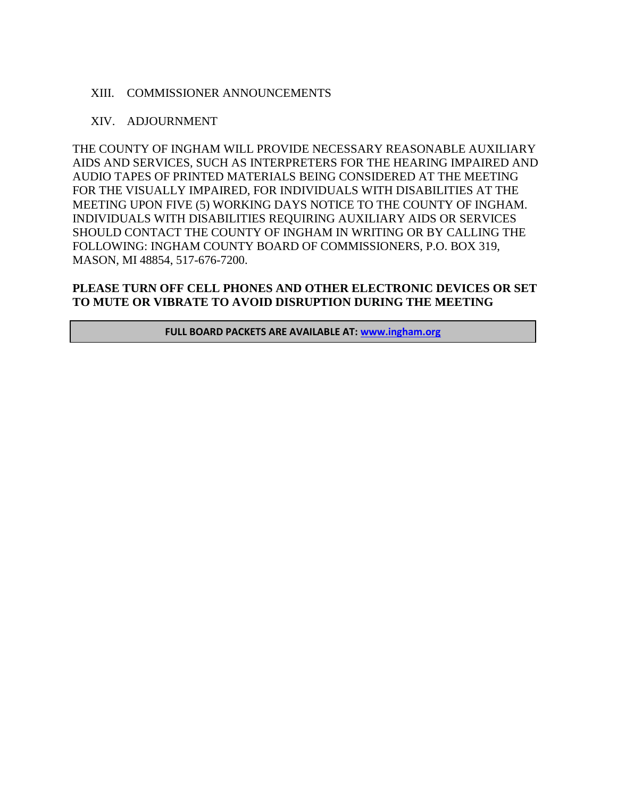### XIII. COMMISSIONER ANNOUNCEMENTS

#### XIV. ADJOURNMENT

THE COUNTY OF INGHAM WILL PROVIDE NECESSARY REASONABLE AUXILIARY AIDS AND SERVICES, SUCH AS INTERPRETERS FOR THE HEARING IMPAIRED AND AUDIO TAPES OF PRINTED MATERIALS BEING CONSIDERED AT THE MEETING FOR THE VISUALLY IMPAIRED, FOR INDIVIDUALS WITH DISABILITIES AT THE MEETING UPON FIVE (5) WORKING DAYS NOTICE TO THE COUNTY OF INGHAM. INDIVIDUALS WITH DISABILITIES REQUIRING AUXILIARY AIDS OR SERVICES SHOULD CONTACT THE COUNTY OF INGHAM IN WRITING OR BY CALLING THE FOLLOWING: INGHAM COUNTY BOARD OF COMMISSIONERS, P.O. BOX 319, MASON, MI 48854, 517-676-7200.

### **PLEASE TURN OFF CELL PHONES AND OTHER ELECTRONIC DEVICES OR SET TO MUTE OR VIBRATE TO AVOID DISRUPTION DURING THE MEETING**

**FULL BOARD PACKETS ARE AVAILABLE AT: [www.ingham.org](http://www.ingham.org/)**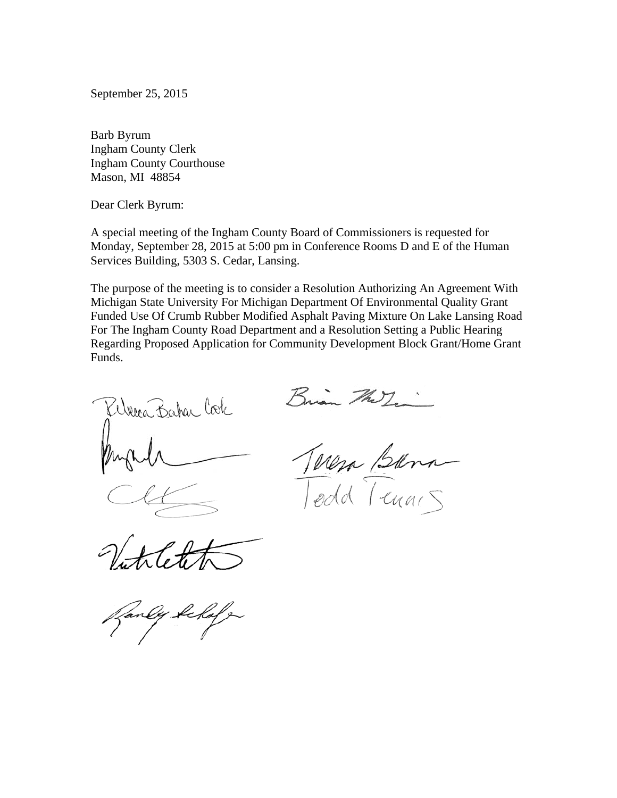September 25, 2015

Barb Byrum Ingham County Clerk Ingham County Courthouse Mason, MI 48854

Dear Clerk Byrum:

A special meeting of the Ingham County Board of Commissioners is requested for Monday, September 28, 2015 at 5:00 pm in Conference Rooms D and E of the Human Services Building, 5303 S. Cedar, Lansing.

The purpose of the meeting is to consider a Resolution Authorizing An Agreement With Michigan State University For Michigan Department Of Environmental Quality Grant Funded Use Of Crumb Rubber Modified Asphalt Paving Mixture On Lake Lansing Road For The Ingham County Road Department and a Resolution Setting a Public Hearing Regarding Proposed Application for Community Development Block Grant/Home Grant Funds.

Werea Bahar Cook

Brian The

a Bara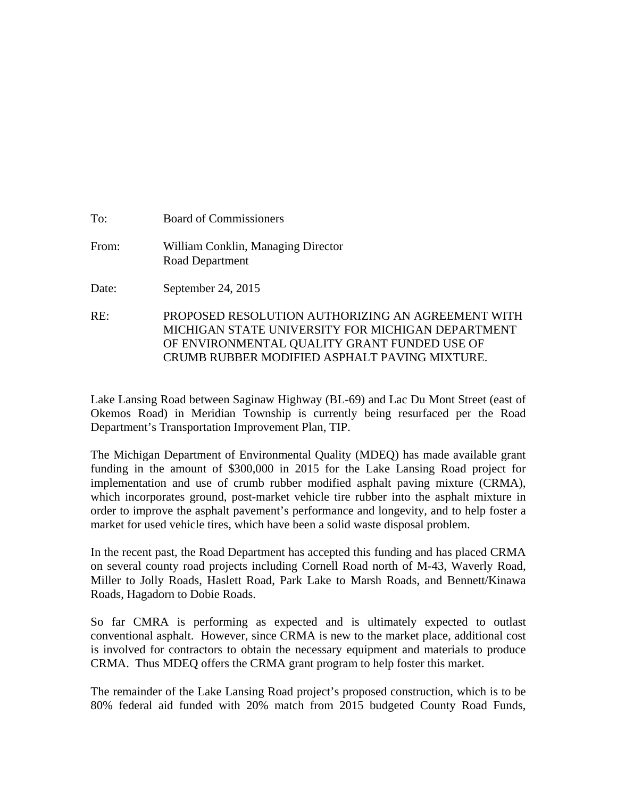| To:   | <b>Board of Commissioners</b>                         |
|-------|-------------------------------------------------------|
| From: | William Conklin, Managing Director<br>Road Department |
| Date: | September 24, 2015                                    |

RE: PROPOSED RESOLUTION AUTHORIZING AN AGREEMENT WITH MICHIGAN STATE UNIVERSITY FOR MICHIGAN DEPARTMENT OF ENVIRONMENTAL QUALITY GRANT FUNDED USE OF CRUMB RUBBER MODIFIED ASPHALT PAVING MIXTURE.

Lake Lansing Road between Saginaw Highway (BL-69) and Lac Du Mont Street (east of Okemos Road) in Meridian Township is currently being resurfaced per the Road Department's Transportation Improvement Plan, TIP.

The Michigan Department of Environmental Quality (MDEQ) has made available grant funding in the amount of \$300,000 in 2015 for the Lake Lansing Road project for implementation and use of crumb rubber modified asphalt paving mixture (CRMA), which incorporates ground, post-market vehicle tire rubber into the asphalt mixture in order to improve the asphalt pavement's performance and longevity, and to help foster a market for used vehicle tires, which have been a solid waste disposal problem.

In the recent past, the Road Department has accepted this funding and has placed CRMA on several county road projects including Cornell Road north of M-43, Waverly Road, Miller to Jolly Roads, Haslett Road, Park Lake to Marsh Roads, and Bennett/Kinawa Roads, Hagadorn to Dobie Roads.

So far CMRA is performing as expected and is ultimately expected to outlast conventional asphalt. However, since CRMA is new to the market place, additional cost is involved for contractors to obtain the necessary equipment and materials to produce CRMA. Thus MDEQ offers the CRMA grant program to help foster this market.

The remainder of the Lake Lansing Road project's proposed construction, which is to be 80% federal aid funded with 20% match from 2015 budgeted County Road Funds,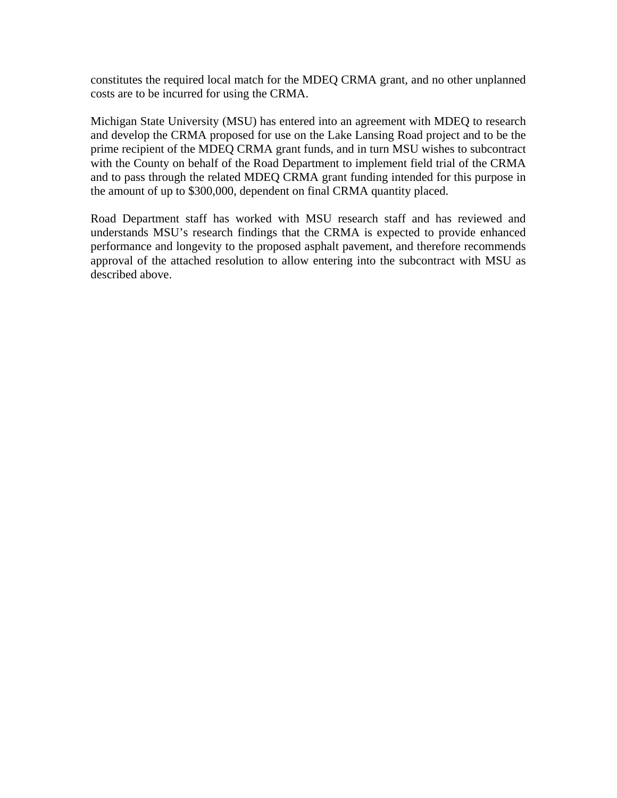constitutes the required local match for the MDEQ CRMA grant, and no other unplanned costs are to be incurred for using the CRMA.

Michigan State University (MSU) has entered into an agreement with MDEQ to research and develop the CRMA proposed for use on the Lake Lansing Road project and to be the prime recipient of the MDEQ CRMA grant funds, and in turn MSU wishes to subcontract with the County on behalf of the Road Department to implement field trial of the CRMA and to pass through the related MDEQ CRMA grant funding intended for this purpose in the amount of up to \$300,000, dependent on final CRMA quantity placed.

Road Department staff has worked with MSU research staff and has reviewed and understands MSU's research findings that the CRMA is expected to provide enhanced performance and longevity to the proposed asphalt pavement, and therefore recommends approval of the attached resolution to allow entering into the subcontract with MSU as described above.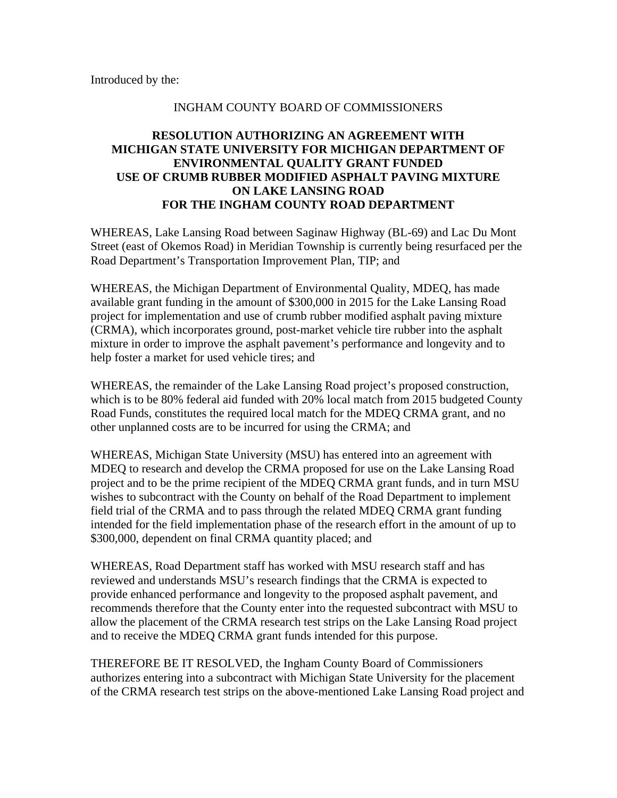Introduced by the:

#### INGHAM COUNTY BOARD OF COMMISSIONERS

# **RESOLUTION AUTHORIZING AN AGREEMENT WITH MICHIGAN STATE UNIVERSITY FOR MICHIGAN DEPARTMENT OF ENVIRONMENTAL QUALITY GRANT FUNDED USE OF CRUMB RUBBER MODIFIED ASPHALT PAVING MIXTURE ON LAKE LANSING ROAD FOR THE INGHAM COUNTY ROAD DEPARTMENT**

WHEREAS, Lake Lansing Road between Saginaw Highway (BL-69) and Lac Du Mont Street (east of Okemos Road) in Meridian Township is currently being resurfaced per the Road Department's Transportation Improvement Plan, TIP; and

WHEREAS, the Michigan Department of Environmental Quality, MDEQ, has made available grant funding in the amount of \$300,000 in 2015 for the Lake Lansing Road project for implementation and use of crumb rubber modified asphalt paving mixture (CRMA), which incorporates ground, post-market vehicle tire rubber into the asphalt mixture in order to improve the asphalt pavement's performance and longevity and to help foster a market for used vehicle tires; and

WHEREAS, the remainder of the Lake Lansing Road project's proposed construction, which is to be 80% federal aid funded with 20% local match from 2015 budgeted County Road Funds, constitutes the required local match for the MDEQ CRMA grant, and no other unplanned costs are to be incurred for using the CRMA; and

WHEREAS, Michigan State University (MSU) has entered into an agreement with MDEQ to research and develop the CRMA proposed for use on the Lake Lansing Road project and to be the prime recipient of the MDEQ CRMA grant funds, and in turn MSU wishes to subcontract with the County on behalf of the Road Department to implement field trial of the CRMA and to pass through the related MDEQ CRMA grant funding intended for the field implementation phase of the research effort in the amount of up to \$300,000, dependent on final CRMA quantity placed; and

WHEREAS, Road Department staff has worked with MSU research staff and has reviewed and understands MSU's research findings that the CRMA is expected to provide enhanced performance and longevity to the proposed asphalt pavement, and recommends therefore that the County enter into the requested subcontract with MSU to allow the placement of the CRMA research test strips on the Lake Lansing Road project and to receive the MDEQ CRMA grant funds intended for this purpose.

THEREFORE BE IT RESOLVED, the Ingham County Board of Commissioners authorizes entering into a subcontract with Michigan State University for the placement of the CRMA research test strips on the above-mentioned Lake Lansing Road project and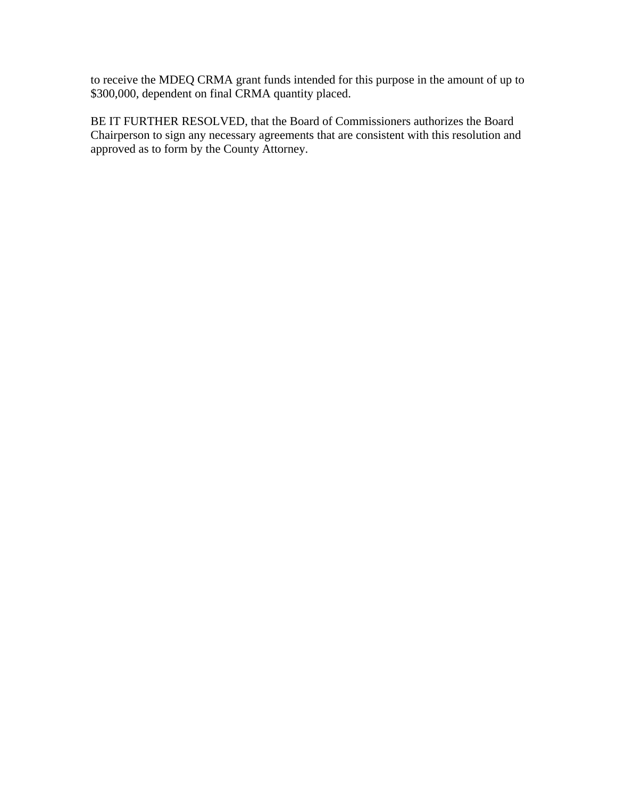to receive the MDEQ CRMA grant funds intended for this purpose in the amount of up to \$300,000, dependent on final CRMA quantity placed.

BE IT FURTHER RESOLVED, that the Board of Commissioners authorizes the Board Chairperson to sign any necessary agreements that are consistent with this resolution and approved as to form by the County Attorney.